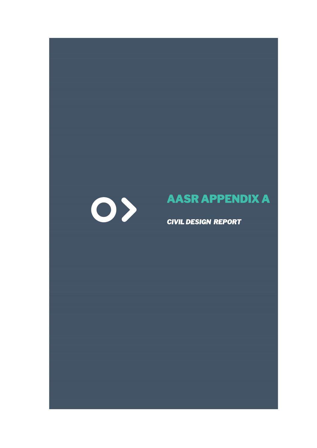# **AASR APPENDIX A**

*CIVIL DESIGN REPORT* 

O>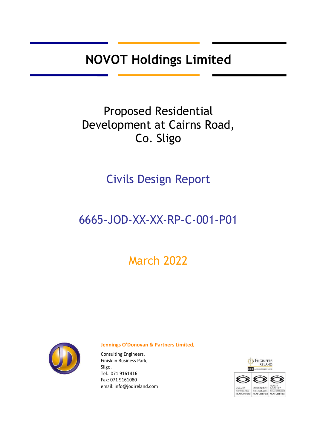**NOVOT Holdings Limited** 

# Proposed Residential Development at Cairns Road, Co. Sligo

Civils Design Report

## 6665-JOD-XX-XX-RP-C-001-P01

# March 2022



#### **Jennings O'Donovan & Partners Limited,**

Consulting Engineers, Finisklin Business Park, Sligo. Tel.: 071 9161416 Fax: 071 9161080 email[: info@jodireland.com](mailto:info@jodireland.com)

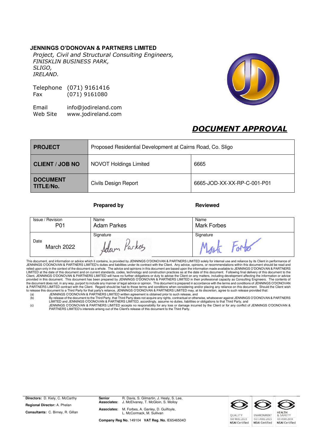#### **JENNINGS O'DONOVAN & PARTNERS LIMITED**

*Project, Civil and Structural Consulting Engineers, FINISKLIN BUSINESS PARK, SLIGO, IRELAND.* 

Telephone (071) 9161416 Fax (071) 9161080

Email [info@jodireland.com](mailto:info@jodireland.com)  Web Site [www.jodireland.com](http://www.jodireland.com/) 



### *DOCUMENT APPROVAL*

| <b>PROJECT</b>               | Proposed Residential Development at Cairns Road, Co. Sligo |                             |  |
|------------------------------|------------------------------------------------------------|-----------------------------|--|
| <b>CLIENT / JOB NO</b>       | <b>NOVOT Holdings Limited</b>                              | 6665                        |  |
| <b>DOCUMENT</b><br>TITLE/No. | Civils Design Report                                       | 6665-JOD-XX-XX-RP-C-001-P01 |  |

#### **Prepared by Reviewed**

| Issue / Revision          | Name                     | Name               |
|---------------------------|--------------------------|--------------------|
| P01                       | <b>Adam Parkes</b>       | <b>Mark Forbes</b> |
| Date<br><b>March 2022</b> | Signature<br>Adam racket | Signature          |

This document, and information or advice which it contains, is provided by JENNINGS O'DONOVAN & PARTNERS LIMITED solely for internal use and reliance by its Client in performance of JENNINGS O'DONOVAN & PARTNERS LIMITED's duties and liabilities under its contract with the Client. Any advice, opinions, or recommendations within this document should be read and<br>relied upon only in the context of the doc Client, JENNINGS O'DONOVAN & PARTNERS LIMITED will have no further obligations or duty to advise the Client on any matters, including development affecting the information or advice<br>provided in this document. This document

| (a) | JENNINGS O'DONOVAN & PARTNERS LIMITED written agreement is obtained prior to such release, and                                    |
|-----|-----------------------------------------------------------------------------------------------------------------------------------|
| (b) | By release of the document to the Third Party, that Third Party does not acquire any rights, contractual or otherwise, whatsoever |
|     |                                                                                                                                   |

(b) By release of the document to the Third Party, that Third Party does not acquire any rights, contractual or otherwise, whatsoever against JENNINGS O'DONOVAN & PARTNERS<br>LIMITED and JENNINGS O'DONOVAN & PARTNERS LIMITED,

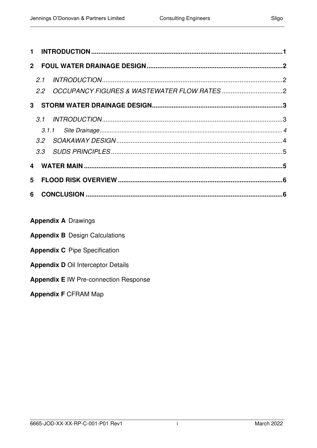| Sliao |
|-------|
|-------|

| $\mathbf 1$ |     |                                               |  |
|-------------|-----|-----------------------------------------------|--|
|             |     |                                               |  |
|             | 2.1 | 2.2 OCCUPANCY FIGURES & WASTEWATER FLOW RATES |  |
|             |     |                                               |  |
|             |     |                                               |  |
|             |     |                                               |  |
|             |     |                                               |  |
|             |     |                                               |  |
|             |     |                                               |  |
| 5           |     |                                               |  |
| 6           |     |                                               |  |
|             |     |                                               |  |

### **Appendix A Drawings**

|  |  |  |  | <b>Appendix B</b> Design Calculations |  |  |  |
|--|--|--|--|---------------------------------------|--|--|--|
|--|--|--|--|---------------------------------------|--|--|--|

- **Appendix C** Pipe Specification
- **Appendix D Oil Interceptor Details**
- **Appendix E IW Pre-connection Response**

#### **Appendix F CFRAM Map**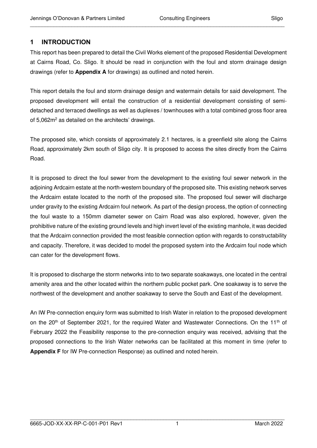#### <span id="page-4-0"></span>**1 INTRODUCTION**

This report has been prepared to detail the Civil Works element of the proposed Residential Development at Cairns Road, Co. Sligo. It should be read in conjunction with the foul and storm drainage design drawings (refer to **Appendix A** for drawings) as outlined and noted herein.

\_\_\_\_\_\_\_\_\_\_\_\_\_\_\_\_\_\_\_\_\_\_\_\_\_\_\_\_\_\_\_\_\_\_\_\_\_\_\_\_\_\_\_\_\_\_\_\_\_\_\_\_\_\_\_\_\_\_\_\_\_\_\_\_\_\_\_\_\_\_\_\_\_\_\_\_\_\_\_\_\_\_\_\_\_\_

This report details the foul and storm drainage design and watermain details for said development. The proposed development will entail the construction of a residential development consisting of semidetached and terraced dwellings as well as duplexes / townhouses with a total combined gross floor area of 5,062m<sup>2</sup> as detailed on the architects' drawings.

The proposed site, which consists of approximately 2.1 hectares, is a greenfield site along the Cairns Road, approximately 2km south of Sligo city. It is proposed to access the sites directly from the Cairns Road.

It is proposed to direct the foul sewer from the development to the existing foul sewer network in the adjoining Ardcairn estate at the north-western boundary of the proposed site. This existing network serves the Ardcairn estate located to the north of the proposed site. The proposed foul sewer will discharge under gravity to the existing Ardcairn foul network. As part of the design process, the option of connecting the foul waste to a 150mm diameter sewer on Cairn Road was also explored, however, given the prohibitive nature of the existing ground levels and high invert level of the existing manhole, it was decided that the Ardcairn connection provided the most feasible connection option with regards to constructability and capacity. Therefore, it was decided to model the proposed system into the Ardcairn foul node which can cater for the development flows.

It is proposed to discharge the storm networks into to two separate soakaways, one located in the central amenity area and the other located within the northern public pocket park. One soakaway is to serve the northwest of the development and another soakaway to serve the South and East of the development.

An IW Pre-connection enquiry form was submitted to Irish Water in relation to the proposed development on the  $20<sup>th</sup>$  of September 2021, for the required Water and Wastewater Connections. On the 11<sup>th</sup> of February 2022 the Feasibility response to the pre-connection enquiry was received, advising that the proposed connections to the Irish Water networks can be facilitated at this moment in time (refer to **Appendix F** for IW Pre-connection Response) as outlined and noted herein.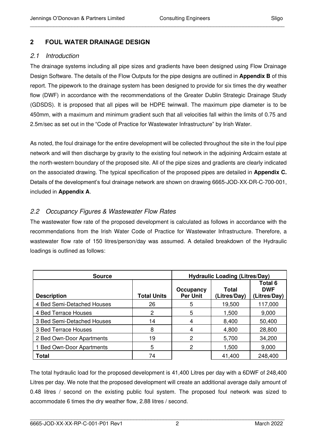### <span id="page-5-0"></span>**2 FOUL WATER DRAINAGE DESIGN**

#### <span id="page-5-1"></span>2.1 Introduction

The drainage systems including all pipe sizes and gradients have been designed using Flow Drainage Design Software. The details of the Flow Outputs for the pipe designs are outlined in **Appendix B** of this report. The pipework to the drainage system has been designed to provide for six times the dry weather flow (DWF) in accordance with the recommendations of the Greater Dublin Strategic Drainage Study (GDSDS). It is proposed that all pipes will be HDPE twinwall. The maximum pipe diameter is to be 450mm, with a maximum and minimum gradient such that all velocities fall within the limits of 0.75 and 2.5m/sec as set out in the "Code of Practice for Wastewater Infrastructure" by Irish Water.

\_\_\_\_\_\_\_\_\_\_\_\_\_\_\_\_\_\_\_\_\_\_\_\_\_\_\_\_\_\_\_\_\_\_\_\_\_\_\_\_\_\_\_\_\_\_\_\_\_\_\_\_\_\_\_\_\_\_\_\_\_\_\_\_\_\_\_\_\_\_\_\_\_\_\_\_\_\_\_\_\_\_\_\_\_\_

As noted, the foul drainage for the entire development will be collected throughout the site in the foul pipe network and will then discharge by gravity to the existing foul network in the adjoining Ardcairn estate at the north-western boundary of the proposed site. All of the pipe sizes and gradients are clearly indicated on the associated drawing. The typical specification of the proposed pipes are detailed in **Appendix C.** Details of the development's foul drainage network are shown on drawing 6665-JOD-XX-DR-C-700-001, included in **Appendix A**.

### <span id="page-5-2"></span>2.2 Occupancy Figures & Wastewater Flow Rates

The wastewater flow rate of the proposed development is calculated as follows in accordance with the recommendations from the Irish Water Code of Practice for Wastewater Infrastructure. Therefore, a wastewater flow rate of 150 litres/person/day was assumed. A detailed breakdown of the Hydraulic loadings is outlined as follows:

| <b>Source</b>                  | <b>Hydraulic Loading (Litres/Day)</b> |                              |                       |                                              |
|--------------------------------|---------------------------------------|------------------------------|-----------------------|----------------------------------------------|
| <b>Description</b>             | <b>Total Units</b>                    | Occupancy<br><b>Per Unit</b> | Total<br>(Litres/Day) | <b>Total 6</b><br><b>DWF</b><br>(Litres/Day) |
| 4 Bed Semi-Detached Houses     | 26                                    | 5                            | 19,500                | 117,000                                      |
| 4 Bed Terrace Houses           | 2                                     | 5                            | 1,500                 | 9,000                                        |
| 3 Bed Semi-Detached Houses     | 14                                    | 4                            | 8,400                 | 50,400                                       |
| 3 Bed Terrace Houses           | 8                                     | 4                            | 4,800                 | 28,800                                       |
| 2 Bed Own-Door Apartments      | 19                                    | 2                            | 5,700                 | 34,200                                       |
| <b>Bed Own-Door Apartments</b> | 5                                     | 2                            | 1,500                 | 9,000                                        |
| <b>Total</b>                   | 74                                    |                              | 41,400                | 248,400                                      |

The total hydraulic load for the proposed development is 41,400 Litres per day with a 6DWF of 248,400 Litres per day. We note that the proposed development will create an additional average daily amount of 0.48 litres / second on the existing public foul system. The proposed foul network was sized to accommodate 6 times the dry weather flow, 2.88 litres / second.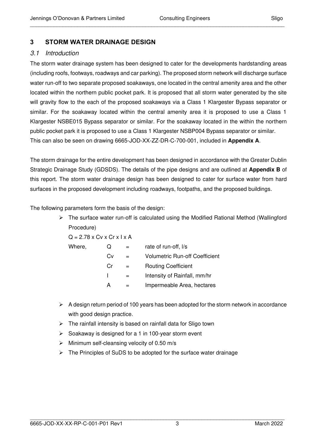#### <span id="page-6-0"></span>**3 STORM WATER DRAINAGE DESIGN**

#### <span id="page-6-1"></span>3.1 Introduction

The storm water drainage system has been designed to cater for the developments hardstanding areas (including roofs, footways, roadways and car parking). The proposed storm network will discharge surface water run-off to two separate proposed soakaways, one located in the central amenity area and the other located within the northern public pocket park. It is proposed that all storm water generated by the site will gravity flow to the each of the proposed soakaways via a Class 1 Klargester Bypass separator or similar. For the soakaway located within the central amenity area it is proposed to use a Class 1 Klargester NSBE015 Bypass separator or similar. For the soakaway located in the within the northern public pocket park it is proposed to use a Class 1 Klargester NSBP004 Bypass separator or similar. This can also be seen on drawing 6665-JOD-XX-ZZ-DR-C-700-001, included in **Appendix A**.

\_\_\_\_\_\_\_\_\_\_\_\_\_\_\_\_\_\_\_\_\_\_\_\_\_\_\_\_\_\_\_\_\_\_\_\_\_\_\_\_\_\_\_\_\_\_\_\_\_\_\_\_\_\_\_\_\_\_\_\_\_\_\_\_\_\_\_\_\_\_\_\_\_\_\_\_\_\_\_\_\_\_\_\_\_\_

The storm drainage for the entire development has been designed in accordance with the Greater Dublin Strategic Drainage Study (GDSDS). The details of the pipe designs and are outlined at **Appendix B** of this report. The storm water drainage design has been designed to cater for surface water from hard surfaces in the proposed development including roadways, footpaths, and the proposed buildings.

The following parameters form the basis of the design:

➢ The surface water run-off is calculated using the Modified Rational Method (Wallingford Procedure)

| $Q = 2.78 \times CV \times Cr \times I \times A$ |
|--------------------------------------------------|
|--------------------------------------------------|

| Where, | U) | rate of run-off, I/s                  |
|--------|----|---------------------------------------|
|        | Cv | <b>Volumetric Run-off Coefficient</b> |
|        | Сr | <b>Routing Coefficient</b>            |
|        |    | Intensity of Rainfall, mm/hr          |
|        | А  | Impermeable Area, hectares            |

- $\triangleright$  A design return period of 100 years has been adopted for the storm network in accordance with good design practice.
- $\triangleright$  The rainfall intensity is based on rainfall data for Sligo town
- ➢ Soakaway is designed for a 1 in 100-year storm event
- $\triangleright$  Minimum self-cleansing velocity of 0.50 m/s
- $\triangleright$  The Principles of SuDS to be adopted for the surface water drainage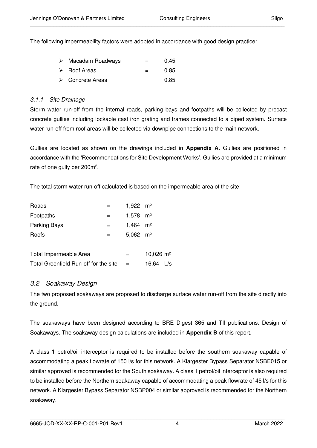The following impermeability factors were adopted in accordance with good design practice:

| $\triangleright$ Macadam Roadways | $=$     | 0.45 |
|-----------------------------------|---------|------|
| $\triangleright$ Roof Areas       | $=$ $-$ | 0.85 |
| $\triangleright$ Concrete Areas   | $=$ $-$ | 0.85 |

#### <span id="page-7-0"></span>3.1.1 Site Drainage

Storm water run-off from the internal roads, parking bays and footpaths will be collected by precast concrete gullies including lockable cast iron grating and frames connected to a piped system. Surface water run-off from roof areas will be collected via downpipe connections to the main network.

Gullies are located as shown on the drawings included in **Appendix A**. Gullies are positioned in accordance with the 'Recommendations for Site Development Works'. Gullies are provided at a minimum rate of one gully per 200m<sup>2</sup>.

The total storm water run-off calculated is based on the impermeable area of the site:

| Roads                                 | 1,922 $m2$             |                        |               |  |
|---------------------------------------|------------------------|------------------------|---------------|--|
| Footpaths                             | $1,578$ m <sup>2</sup> |                        |               |  |
| Parking Bays                          | $1,464$ m <sup>2</sup> |                        |               |  |
| Roofs                                 | $=$                    | $5.062$ m <sup>2</sup> |               |  |
|                                       |                        |                        |               |  |
| Total Impermeable Area                | $=$                    | 10,026 $m2$            |               |  |
| Total Greenfield Run-off for the site |                        | 16.64                  | $\frac{1}{s}$ |  |

#### <span id="page-7-1"></span>3.2 Soakaway Design

The two proposed soakaways are proposed to discharge surface water run-off from the site directly into the ground.

The soakaways have been designed according to BRE Digest 365 and TII publications: Design of Soakaways. The soakaway design calculations are included in **Appendix B** of this report.

A class 1 petrol/oil interceptor is required to be installed before the southern soakaway capable of accommodating a peak flowrate of 150 l/s for this network. A Klargester Bypass Separator NSBE015 or similar approved is recommended for the South soakaway. A class 1 petrol/oil interceptor is also required to be installed before the Northern soakaway capable of accommodating a peak flowrate of 45 l/s for this network. A Klargester Bypass Separator NSBP004 or similar approved is recommended for the Northern soakaway.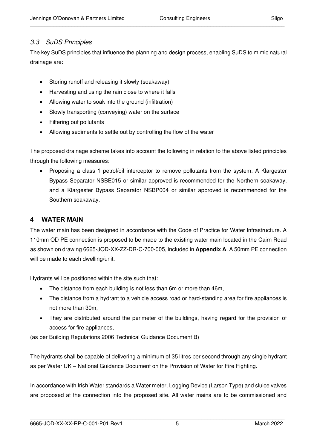#### <span id="page-8-0"></span>3.3 SuDS Principles

The key SuDS principles that influence the planning and design process, enabling SuDS to mimic natural drainage are:

\_\_\_\_\_\_\_\_\_\_\_\_\_\_\_\_\_\_\_\_\_\_\_\_\_\_\_\_\_\_\_\_\_\_\_\_\_\_\_\_\_\_\_\_\_\_\_\_\_\_\_\_\_\_\_\_\_\_\_\_\_\_\_\_\_\_\_\_\_\_\_\_\_\_\_\_\_\_\_\_\_\_\_\_\_\_

- Storing runoff and releasing it slowly (soakaway)
- Harvesting and using the rain close to where it falls
- Allowing water to soak into the ground (infiltration)
- Slowly transporting (conveying) water on the surface
- Filtering out pollutants
- Allowing sediments to settle out by controlling the flow of the water

The proposed drainage scheme takes into account the following in relation to the above listed principles through the following measures:

• Proposing a class 1 petrol/oil interceptor to remove pollutants from the system. A Klargester Bypass Separator NSBE015 or similar approved is recommended for the Northern soakaway, and a Klargester Bypass Separator NSBP004 or similar approved is recommended for the Southern soakaway.

#### <span id="page-8-1"></span>**4 WATER MAIN**

The water main has been designed in accordance with the Code of Practice for Water Infrastructure. A 110mm OD PE connection is proposed to be made to the existing water main located in the Cairn Road as shown on drawing 6665-JOD-XX-ZZ-DR-C-700-005, included in **Appendix A**. A 50mm PE connection will be made to each dwelling/unit.

Hydrants will be positioned within the site such that:

- The distance from each building is not less than 6m or more than 46m,
- The distance from a hydrant to a vehicle access road or hard-standing area for fire appliances is not more than 30m,
- They are distributed around the perimeter of the buildings, having regard for the provision of access for fire appliances,

(as per Building Regulations 2006 Technical Guidance Document B)

The hydrants shall be capable of delivering a minimum of 35 litres per second through any single hydrant as per Water UK – National Guidance Document on the Provision of Water for Fire Fighting.

In accordance with Irish Water standards a Water meter, Logging Device (Larson Type) and sluice valves are proposed at the connection into the proposed site. All water mains are to be commissioned and